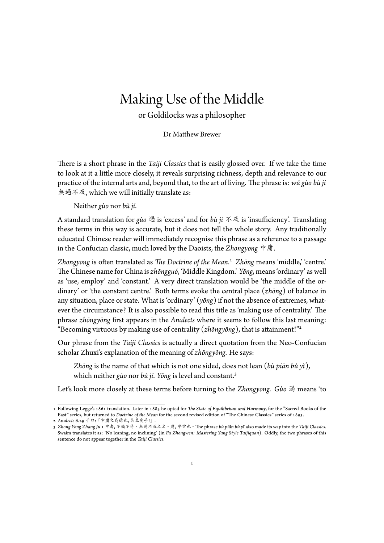## Making Use of the Middle

or Goldilocks was a philosopher

Dr Matthew Brewer

There is a short phrase in the *Taiji Classics* that is easily glossed over. If we take the time to look at it a little more closely, it reveals surprising richness, depth and relevance to our practice of the internal arts and, beyond that, to the art of living. The phrase is: *wú gùo bù jí* 無過不及, which we will initially translate as:

Neither*gùo* nor *bù jí*.

A standard translation for *gùo* 過 is 'excess' and for *bù jí* 不及 is 'insufficiency'. Translating these terms in this way is accurate, but it does not tell the whole story. Any traditionally educated Chinese reader will immediately recognise this phrase as a reference to a passage in the Confucian classic, much loved by the Daoists, the *Zhongyong* 中庸.

*Zhongyong* is often translated as *The Doctrine of the Mean*. <sup>1</sup> *Zhōng* means 'middle,' 'centre.' The Chinese name for China is *zhōngguó*, 'Middle Kingdom.' *Yōng*, means 'ordinary' as well as 'use, employ' and 'constant.' A very direct translation would be 'the middle of the ordinary' or 'the constant centre.' Both terms evoke the ce[n](#page-0-0)tral place (*zhōng*) of balance in any situation, place or state. What is 'ordinary' (*yōng*) if not the absence of extremes, whatever the circumstance? It is also possible to read this title as 'making use of centrality.' The phrase *zhōngyōng* first appears in the *Analects* where it seems to follow this last meaning: "Becoming virtuous by making use of centrality (*zhōngyōng*), that is attainment!"<sup>2</sup>

Our phrase from the *Taiji Classics* is actually a direct quotation from the Neo-Confucian scholar Zhuxi's explanation of the meaning of *zhōngyōng*. He says:

*Zhōng* is the name of that which is not one sided, does not lean (*bù piān bù [y](#page-0-1)ĭ*), which neither*gùo* nor *bù jí*. *Yōng* is level and constant.<sup>3</sup>

Let's look more closely at these terms before turning to the *Zhongyong*. *Gùo* 過 means 'to

<sup>1</sup> Following Legge's 1861 translation. Later in 1885 he opted for *The State of Equilibriu[m](#page-0-2) and Harmony*, for the "Sacred Books of the East" series, but returned to *Doctrine of the Mean* for the second revised edition of "The Chinese Classics" series of 1893.

<sup>2</sup> *Analects* 6.29 子曰:「中庸之為德也, 其至矣乎!」.

<span id="page-0-2"></span><span id="page-0-1"></span><span id="page-0-0"></span><sup>3</sup> *Zhong Yong Zhang Ju* 1 中者, 不偏不倚、無過不及之名。庸, 平常也。The phrase *bù piān bù yĭ* also made its way into the *Taiji Classics*. Swaim translates it as: 'No leaning, no inclining' (in *Fu Zhongwen: Mastering Yang Style Taijiquan*). Oddly, the two phrases of this sentence do not appear together in the *Taiji Classics*.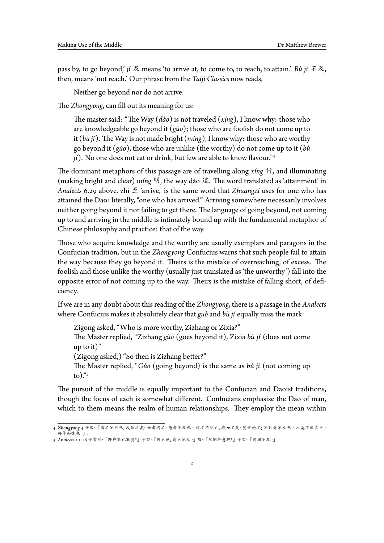pass by, to go beyond,' *jí* 及 means 'to arrive at, to come to, to reach, to attain.' *Bù jí* 不及, then, means 'not reach.' Our phrase from the *Taiji Classics* now reads,

Neither go beyond nor do not arrive.

The *Zhongyong*, can fill out its meaning for us:

The master said: "The Way (*dào*) is not traveled (*xíng*), I know why: those who are knowledgeable go beyond it (*gùo*); those who are foolish do not come up to it (*bù jí*). The Way is not made bright (*míng*), I know why: those who are worthy go beyond it (*gùo*), those who are unlike (the worthy) do not come up to it (*bù jí*). No one does not eat or drink, but few are able to know flavour."<sup>4</sup>

The dominant metaphors of this passage are of travelling along *xíng* 行, and illuminating (making bright and clear) *míng* 明, the way dào 道. The word translated as 'attainment' in *Analects* 6.29 above, zhì 至 'arrive,' is the same word that *Zhuangzi* use[s](#page-1-0) for one who has attained the Dao: literally, "one who has arrived." Arriving somewhere necessarily involves neither going beyond it nor failing to get there. The language of going beyond, not coming up to and arriving in the middle is intimately bound up with the fundamental metaphor of Chinese philosophy and practice: that of the way.

Those who acquire knowledge and the worthy are usually exemplars and paragons in the Confucian tradition, but in the *Zhongyong* Confucius warns that such people fail to attain the way because they go beyond it. Theirs is the mistake of overreaching, of excess. The foolish and those unlike the worthy (usually just translated as 'the unworthy') fall into the opposite error of not coming up to the way. Theirs is the mistake of falling short, of deficiency.

If we are in any doubt about this reading of the *Zhongyong*, there is a passage in the *Analects* where Confucius makes it absolutely clear that*guò* and *bù jí* equally miss the mark:

Zigong asked, "Who is more worthy, Zizhang or Zixia?" The Master replied, "Zizhang *gùo* (goes beyond it), Zixia *bù jí* (does not come up to it)" (Zigong asked,) "So then is Zizhang better?" The Master replied, "*Gùo* (going beyond) is the same as *bù jí* (not coming up  $\alpha$ )."<sup>5</sup>

The pursuit of the middle is equally important to the Confucian and Daoist traditions, though the focus of each is somewhat different. Confucians emphasise the Dao of man, which to [t](#page-1-1)hem means the realm of human relationships. They employ the mean within

<sup>4</sup> *Zhongyong* 4 子曰:「道之不行也, 我知之矣: 知者過之; 愚者不及也。道之不明也, 我知之矣: 賢者過之; 不肖者不及也。人莫不飲食也。 鮮能知味也。」.

<span id="page-1-1"></span><span id="page-1-0"></span><sup>5</sup> *Analects* 11.16 子貢問:「師與商也孰賢?」子曰:「師也過, 商也不及。」曰:「然則師愈與?」子曰:「過猶不及。」.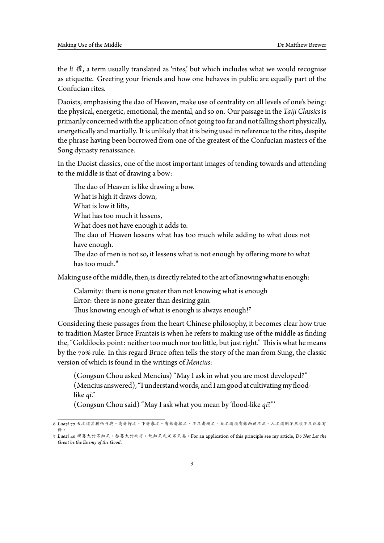the *lĭ* 禮, a term usually translated as 'rites,' but which includes what we would recognise as etiquette. Greeting your friends and how one behaves in public are equally part of the Confucian rites.

Daoists, emphasising the dao of Heaven, make use of centrality on all levels of one's being: the physical, energetic, emotional, the mental, and so on. Our passage in the *Taiji Classics* is primarily concerned with the application of not going too far and not falling short physically, energetically and martially. It is unlikely that it is being used in reference to the rites, despite the phrase having been borrowed from one of the greatest of the Confucian masters of the Song dynasty renaissance.

In the Daoist classics, one of the most important images of tending towards and attending to the middle is that of drawing a bow:

The dao of Heaven is like drawing a bow. What is high it draws down, What is low it lifts, What has too much it lessens, What does not have enough it adds to. The dao of Heaven lessens what has too much while adding to what does not have enough. The dao of men is not so, it lessens what is not enough by offering more to what has too much.<sup>6</sup>

Making use of the middle, then, is directly related to the art of knowing what is enough:

Calamity: the[re](#page-2-0) is none greater than not knowing what is enough Error: there is none greater than desiring gain Thus knowing enough of what is enough is always enough!<sup>7</sup>

Considering these passages from the heart Chinese philosophy, it becomes clear how true to tradition Master Bruce Frantzis is when he refers to making use of the middle as finding the, "Goldilocks point: neither too much nor too little, but just ri[gh](#page-2-1)t." This is what he means by the 70% rule. In this regard Bruce often tells the story of the man from Sung, the classic

version of which is found in the writings of *Mencius*:

(Gongsun Chou asked Mencius) "May I ask in what you are most developed?" (Mencius answered), "I understandwords, and I am good at cultivating my floodlike *qi*."

(Gongsun Chou said) "May I ask what you mean by 'flood-like *qi*?"'

<sup>6</sup> *Laozi* 77 天之道其猶張弓與。高者抑之、下者擧之。有餘者損之、不足者補之。天之道損有餘而補不足。人之道則不然損不足以奉有 餘。

<span id="page-2-1"></span><span id="page-2-0"></span><sup>7</sup> *Laozi* 46 禍莫大於不知足、咎莫大於欲得。故知足之足常足矣。For an application of this principle see my article, *Do Not Let the Great be the Enemy of the Good*.